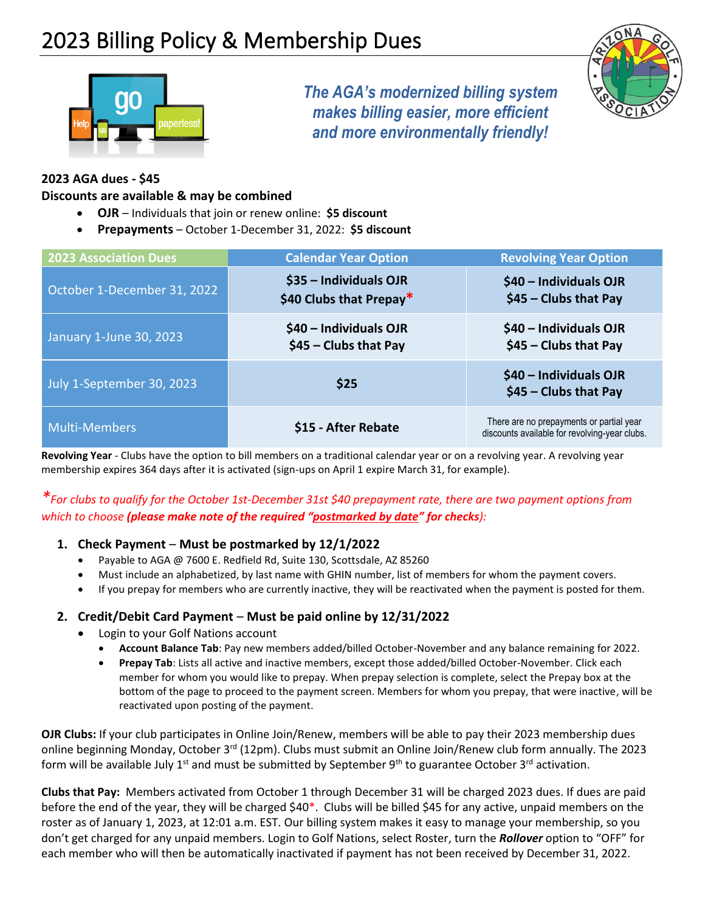

*The AGA's modernized billing system makes billing easier, more efficient and more environmentally friendly!*



### **2023 AGA dues - \$45**

#### **Discounts are available & may be combined**

- **OJR** Individuals that join or renew online: **\$5 discount**
- **Prepayments** October 1-December 31, 2022: **\$5 discount**

| <b>2023 Association Dues</b> | <b>Calendar Year Option</b>                       | <b>Revolving Year Option</b>                                                              |
|------------------------------|---------------------------------------------------|-------------------------------------------------------------------------------------------|
| October 1-December 31, 2022  | \$35 - Individuals OJR<br>\$40 Clubs that Prepay* | \$40 - Individuals OJR<br>$$45$ - Clubs that Pay                                          |
| January 1-June 30, 2023      | \$40 - Individuals OJR<br>\$45 - Clubs that Pay   | \$40 - Individuals OJR<br>$$45$ - Clubs that Pay                                          |
| July 1-September 30, 2023    | \$25                                              | \$40 - Individuals OJR<br>$$45$ - Clubs that Pay                                          |
| <b>Multi-Members</b>         | \$15 - After Rebate                               | There are no prepayments or partial year<br>discounts available for revolving-year clubs. |

**Revolving Year** - Clubs have the option to bill members on a traditional calendar year or on a revolving year. A revolving year membership expires 364 days after it is activated (sign-ups on April 1 expire March 31, for example).

## *\*For clubs to qualify for the October 1st-December 31st \$40 prepayment rate, there are two payment options from which to choose (please make note of the required "postmarked by date" for checks):*

#### **1. Check Payment** – **Must be postmarked by 12/1/2022**

- Payable to AGA @ 7600 E. Redfield Rd, Suite 130, Scottsdale, AZ 85260
- Must include an alphabetized, by last name with GHIN number, list of members for whom the payment covers.
- If you prepay for members who are currently inactive, they will be reactivated when the payment is posted for them.

#### **2. Credit/Debit Card Payment** – **Must be paid online by 12/31/2022**

- Login to your Golf Nations account
	- **Account Balance Tab**: Pay new members added/billed October-November and any balance remaining for 2022.
	- **Prepay Tab**: Lists all active and inactive members, except those added/billed October-November. Click each member for whom you would like to prepay. When prepay selection is complete, select the Prepay box at the bottom of the page to proceed to the payment screen. Members for whom you prepay, that were inactive, will be reactivated upon posting of the payment.

**OJR Clubs:** If your club participates in Online Join/Renew, members will be able to pay their 2023 membership dues online beginning Monday, October 3<sup>rd</sup> (12pm). Clubs must submit an Online Join/Renew club form annually. The 2023 form will be available July 1<sup>st</sup> and must be submitted by September 9<sup>th</sup> to guarantee October 3<sup>rd</sup> activation.

**Clubs that Pay:** Members activated from October 1 through December 31 will be charged 2023 dues. If dues are paid before the end of the year, they will be charged \$40\*. Clubs will be billed \$45 for any active, unpaid members on the roster as of January 1, 2023, at 12:01 a.m. EST. Our billing system makes it easy to manage your membership, so you don't get charged for any unpaid members. Login to Golf Nations, select Roster, turn the *Rollover* option to "OFF" for each member who will then be automatically inactivated if payment has not been received by December 31, 2022.